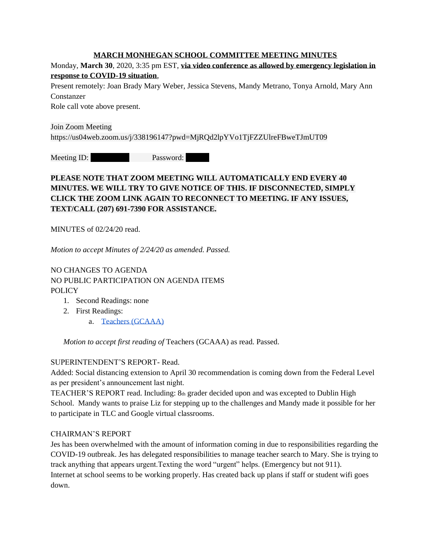### **MARCH MONHEGAN SCHOOL COMMITTEE MEETING MINUTES**

Monday, **March 30**, 2020, 3:35 pm EST, **via video conference as allowed by emergency legislation in response to COVID-19 situation**,

Present remotely: Joan Brady Mary Weber, Jessica Stevens, Mandy Metrano, Tonya Arnold, Mary Ann Constanzer

Role call vote above present.

Join Zoom Meeting https://us04web.zoom.us/j/338196147?pwd=MjRQd2lpYVo1TjFZZUlreFBweTJmUT09

Meeting ID: 338 Password:

# **PLEASE NOTE THAT ZOOM MEETING WILL AUTOMATICALLY END EVERY 40 MINUTES. WE WILL TRY TO GIVE NOTICE OF THIS. IF DISCONNECTED, SIMPLY CLICK THE ZOOM LINK AGAIN TO RECONNECT TO MEETING. IF ANY ISSUES, TEXT/CALL (207) 691-7390 FOR ASSISTANCE.**

MINUTES of 02/24/20 read.

*Motion to accept Minutes of 2/24/20 as amended. Passed.* 

NO CHANGES TO AGENDA NO PUBLIC PARTICIPATION ON AGENDA ITEMS POLICY

- 1. Second Readings: none
- 2. First Readings:
	- a. [Teachers \(GCAAA\)](https://docs.google.com/document/d/1n8AocIvR23qfQju7Tfw6kGoo1SK9Q6SICF42T42uhss/edit?usp=sharing)

*Motion to accept first reading of* [Teachers \(GCAAA\)](https://docs.google.com/document/d/1n8AocIvR23qfQju7Tfw6kGoo1SK9Q6SICF42T42uhss/edit?usp=sharing) as read. Passed.

### SUPERINTENDENT'S REPORT- Read.

Added: Social distancing extension to April 30 recommendation is coming down from the Federal Level as per president's announcement last night.

TEACHER'S REPORT read. Including: 8th grader decided upon and was excepted to Dublin High School. Mandy wants to praise Liz for stepping up to the challenges and Mandy made it possible for her to participate in TLC and Google virtual classrooms.

### CHAIRMAN'S REPORT

Jes has been overwhelmed with the amount of information coming in due to responsibilities regarding the COVID-19 outbreak. Jes has delegated responsibilities to manage teacher search to Mary. She is trying to track anything that appears urgent.Texting the word "urgent" helps. (Emergency but not 911). Internet at school seems to be working properly. Has created back up plans if staff or student wifi goes down.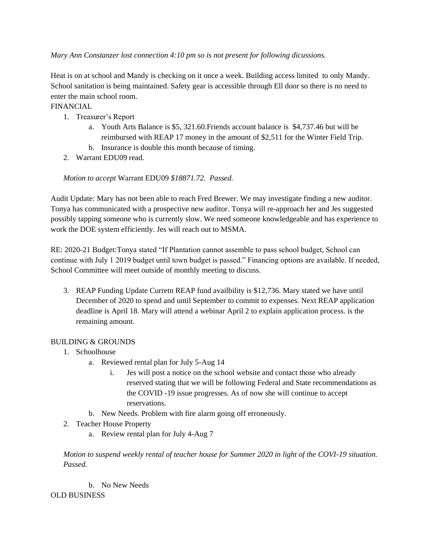*Mary Ann Constanzer lost connection 4:10 pm so is not present for following dicussions.*

Heat is on at school and Mandy is checking on it once a week. Building access limited to only Mandy. School sanitation is being maintained. Safety gear is accessible through Ell door so there is no need to enter the main school room.

FINANCIAL

- 1. Treasurer's Report
	- a. Youth Arts Balance is \$5, 321.60.Friends account balance is \$4,737.46 but will be reimbursed with REAP 17 money in the amount of \$2,511 for the Winter Field Trip.
	- b. Insurance is double this month because of timing.
- 2. Warrant EDU09 read.

*Motion to accept* Warrant EDU09 *\$18871.72. Passed.* 

Audit Update: Mary has not been able to reach Fred Brewer. We may investigate finding a new auditor. Tonya has communicated with a prospective new auditor. Tonya will re-approach her and Jes suggested possibly tapping someone who is currently slow. We need someone knowledgeable and has experience to work the DOE system efficiently. Jes will reach out to MSMA.

RE: 2020-21 Budget:Tonya stated "If Plantation cannot assemble to pass school budget, School can continue with July 1 2019 budget until town budget is passed." Financing options are available. If needed, School Committee will meet outside of monthly meeting to discuss.

3. REAP Funding Update Curretn REAP fund availbility is \$12,736. Mary stated we have until December of 2020 to spend and until September to commit to expenses. Next REAP application deadline is April 18. Mary will attend a webinar April 2 to explain application process. is the remaining amount.

# BUILDING & GROUNDS

- 1. Schoolhouse
	- a. Reviewed rental plan for July 5-Aug 14
		- i. Jes will post a notice on the school website and contact those who already reserved stating that we will be following Federal and State recommendations as the COVID -19 issue progresses. As of now she will continue to accept reservations.
	- b. New Needs. Problem with fire alarm going off erroneously.
- 2. Teacher House Property
	- a. Review rental plan for July 4-Aug 7

*Motion to suspend weekly rental of teacher house for Summer 2020 in light of the COVI-19 situation. Passed.* 

b. No New Needs OLD BUSINESS